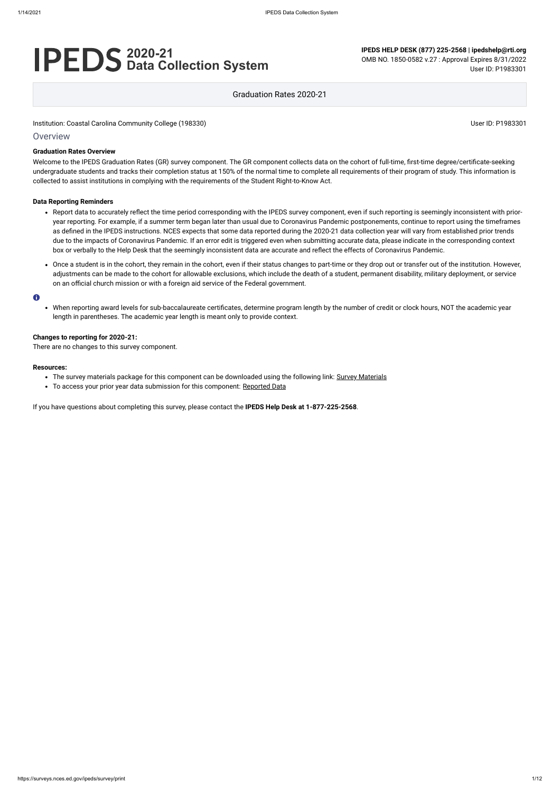# **2020-21 Data Collection System**

**IPEDS HELP DESK (877) 225-2568 | ipedshelp@rti.org**

OMB NO. 1850-0582 v.27 : Approval Expires 8/31/2022 User ID: P1983301

Graduation Rates 2020-21

Institution: Coastal Carolina Community College (198330) Noticed that the state of the USE of the USE of the USE of the USE of the USE of the USE of the USE of the USE of the USE of the USE of the USE of the USE of the USE

### **Overview**

#### **Graduation Rates Overview**

Welcome to the IPEDS Graduation Rates (GR) survey component. The GR component collects data on the cohort of full-time, first-time degree/certificate-seeking undergraduate students and tracks their completion status at 150% of the normal time to complete all requirements of their program of study. This information is collected to assist institutions in complying with the requirements of the Student Right-to-Know Act.

#### **Data Reporting Reminders**

- Report data to accurately reflect the time period corresponding with the IPEDS survey component, even if such reporting is seemingly inconsistent with prioryear reporting. For example, if a summer term began later than usual due to Coronavirus Pandemic postponements, continue to report using the timeframes as defined in the IPEDS instructions. NCES expects that some data reported during the 2020-21 data collection year will vary from established prior trends due to the impacts of Coronavirus Pandemic. If an error edit is triggered even when submitting accurate data, please indicate in the corresponding context box or verbally to the Help Desk that the seemingly inconsistent data are accurate and reflect the effects of Coronavirus Pandemic.
- Once a student is in the cohort, they remain in the cohort, even if their status changes to part-time or they drop out or transfer out of the institution. However, adjustments can be made to the cohort for allowable exclusions, which include the death of a student, permanent disability, military deployment, or service on an official church mission or with a foreign aid service of the Federal government.

#### $\bullet$

When reporting award levels for sub-baccalaureate certificates, determine program length by the number of credit or clock hours, NOT the academic year length in parentheses. The academic year length is meant only to provide context.

#### **Changes to reporting for 2020-21:**

There are no changes to this survey component.

#### **Resources:**

- The survey materials package for this component can be downloaded using the following link: Survey [Materials](https://surveys.nces.ed.gov/ipeds/public/survey-materials/index)
- To access your prior year data submission for this component: [Reported Data](https://surveys.nces.ed.gov/IPEDS_py/DataForms.aspx?f0e9e4efc4dfb8acb4b3aeaeaba1eef0edf1e0f4c4dfb8afa1f0eee0edc4dfb8cbacb4b3aeaeabaca1f0e9e4efc9dce8e0b8beeadceeefdce79bbedcedeae7e4e9dc9bbeeae8e8f0e9e4eff49bbeeae7e7e0e2e0a1ebedeadee0eeeeb8e0f3efe0ede9dce7a1eddfefb8acaaacafaaadabadac9baeb5abb0b5adab9bcbc8)

If you have questions about completing this survey, please contact the **IPEDS Help Desk at 1-877-225-2568**.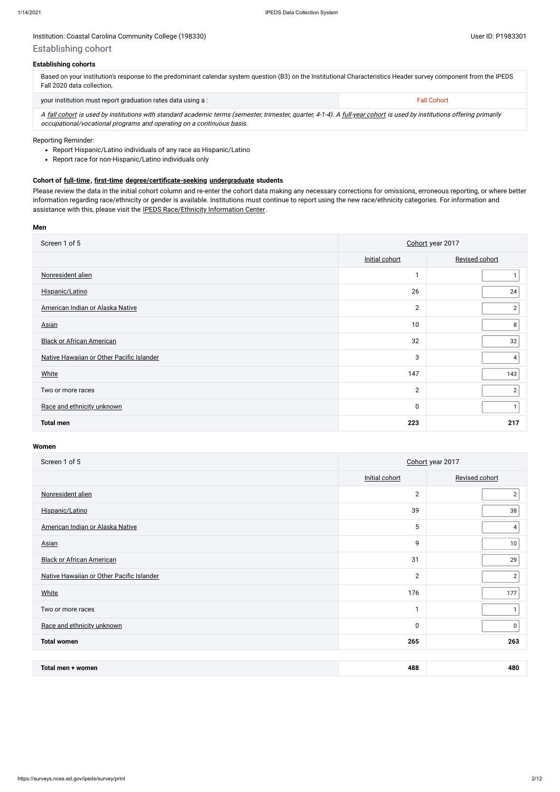## **Establishing cohorts**

| Based on your institution's response to the predominant calendar system question (B3) on the Institutional Characteristics Header survey component from the IPEDS<br>Fall 2020 data collection, |                    |  |
|-------------------------------------------------------------------------------------------------------------------------------------------------------------------------------------------------|--------------------|--|
| your institution must report graduation rates data using a:                                                                                                                                     | <b>Fall Cohort</b> |  |

A [fall cohort](javascript:openglossary(219)) is used by institutions with standard academic terms (semester, trimester, quarter, 4-1-4). A [full-year cohort](javascript:openglossary(261)) is used by institutions offering primarily occupational/vocational programs and operating on a continuous basis.

Please review the data in the initial cohort column and re-enter the cohort data making any necessary corrections for omissions, erroneous reporting, or where better information regarding race/ethnicity or gender is available. Institutions must continue to report using the new race/ethnicity categories. For information and assistance with this, please visit the [IPEDS Race/Ethnicity](https://nces.ed.gov/ipeds/report-your-data/resource-center-race-ethnicity) Information Center.

## Reporting Reminder:

- Report Hispanic/Latino individuals of any race as Hispanic/Latino
- Report race for non-Hispanic/Latino individuals only

## **Cohort of [full-time](javascript:openglossary(259)), [first-time](javascript:openglossary(241)) [degree/certificate-seeking](javascript:openglossary(171)) [undergraduate](javascript:openglossary(677)) students**

#### **Men**

| Screen 1 of 5                             | Cohort year 2017 |                |  |
|-------------------------------------------|------------------|----------------|--|
|                                           | Initial cohort   | Revised cohort |  |
| Nonresident alien                         | 1                |                |  |
| Hispanic/Latino                           | 26               | 24             |  |
| American Indian or Alaska Native          | $\mathbf{2}$     | $\overline{2}$ |  |
| <b>Asian</b>                              | 10               | 8              |  |
| <b>Black or African American</b>          | 32               | 32             |  |
| Native Hawaiian or Other Pacific Islander | 3                | 4              |  |
| <b>White</b>                              | 147              | 143            |  |
| Two or more races                         | $\mathbf{2}$     | $\overline{c}$ |  |
| Race and ethnicity unknown                | $\mathbf 0$      |                |  |
| <b>Total men</b>                          | 223              | 217            |  |

#### **Women**

| Screen 1 of 5                             | Cohort year 2017 |                |  |
|-------------------------------------------|------------------|----------------|--|
|                                           | Initial cohort   | Revised cohort |  |
| Nonresident alien                         | $\mathbf{2}$     | $\overline{2}$ |  |
| Hispanic/Latino                           | 39               | 38             |  |
| American Indian or Alaska Native          | 5                | 4              |  |
| <b>Asian</b>                              | 9                | 10             |  |
| <b>Black or African American</b>          | 31               | 29             |  |
| Native Hawaiian or Other Pacific Islander | $\mathbf{2}$     | $\mathbf{2}$   |  |
| White                                     | 176              | 177            |  |
| Two or more races                         | -1               |                |  |
| Race and ethnicity unknown                | $\pmb{0}$        | 0              |  |
| <b>Total women</b>                        | 265              | 263            |  |

| Total men -<br>women | 488 | 480 |
|----------------------|-----|-----|
|----------------------|-----|-----|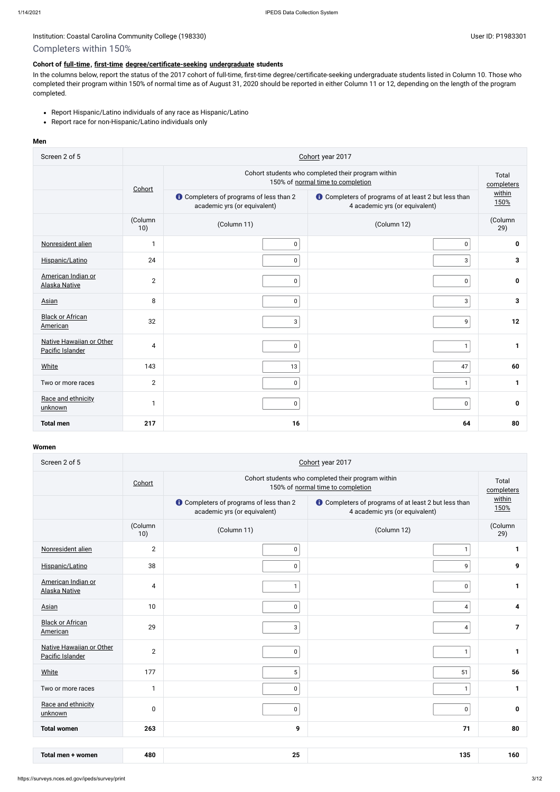# Completers within 150%

## **Cohort of [full-time](javascript:openglossary(259)), [first-time](javascript:openglossary(241)) [degree/certificate-seeking](javascript:openglossary(171)) [undergraduate](javascript:openglossary(677)) students**

- Report Hispanic/Latino individuals of any race as Hispanic/Latino
- Report race for non-Hispanic/Latino individuals only

In the columns below, report the status of the 2017 cohort of full-time, first-time degree/certificate-seeking undergraduate students listed in Column 10. Those who completed their program within 150% of normal time as of August 31, 2020 should be reported in either Column 11 or 12, depending on the length of the program completed.

## **Men**

| Screen 2 of 5                                | Cohort year 2017                                                                        |                                                                                |                                                                                               |                |  |  |  |
|----------------------------------------------|-----------------------------------------------------------------------------------------|--------------------------------------------------------------------------------|-----------------------------------------------------------------------------------------------|----------------|--|--|--|
|                                              | Cohort students who completed their program within<br>150% of normal time to completion |                                                                                |                                                                                               |                |  |  |  |
|                                              | Cohort                                                                                  | <b>O</b> Completers of programs of less than 2<br>academic yrs (or equivalent) | <b>t</b> Completers of programs of at least 2 but less than<br>4 academic yrs (or equivalent) | within<br>150% |  |  |  |
|                                              | (Column<br>10)                                                                          | (Column 11)                                                                    | (Column 12)                                                                                   | (Column<br>29) |  |  |  |
| Nonresident alien                            | $\mathbf{1}$                                                                            | $\pmb{0}$                                                                      | $\pmb{0}$                                                                                     | $\pmb{0}$      |  |  |  |
| Hispanic/Latino                              | 24                                                                                      | $\pmb{0}$                                                                      | $\mathsf 3$                                                                                   | $\mathbf{3}$   |  |  |  |
| American Indian or<br><b>Alaska Native</b>   | $\overline{2}$                                                                          | $\pmb{0}$                                                                      | $\pmb{0}$                                                                                     | 0              |  |  |  |
| Asian                                        | 8                                                                                       | $\pmb{0}$                                                                      | $\sqrt{3}$                                                                                    | $\mathbf{3}$   |  |  |  |
| <b>Black or African</b><br>American          | 32                                                                                      | 3 <sup>1</sup>                                                                 | 9                                                                                             | 12             |  |  |  |
| Native Hawaiian or Other<br>Pacific Islander | 4                                                                                       | $\pmb{0}$                                                                      | $\mathbf{1}$                                                                                  | 1              |  |  |  |
| <b>White</b>                                 | 143                                                                                     | 13                                                                             | 47                                                                                            | 60             |  |  |  |
| Two or more races                            | $\mathbf{2}$                                                                            | $\pmb{0}$                                                                      | $\mathbf{1}$                                                                                  | 1              |  |  |  |
| Race and ethnicity<br>unknown                | $\mathbf{1}$                                                                            | $\pmb{0}$                                                                      | $\pmb{0}$                                                                                     | 0              |  |  |  |
| <b>Total men</b>                             | 217                                                                                     | 16                                                                             | 64                                                                                            | 80             |  |  |  |

### **Women**

| Screen 2 of 5                                | Cohort year 2017 |                                                                                |                                                                                               |                |  |  |  |
|----------------------------------------------|------------------|--------------------------------------------------------------------------------|-----------------------------------------------------------------------------------------------|----------------|--|--|--|
|                                              | Cohort           |                                                                                | Cohort students who completed their program within<br>150% of normal time to completion       |                |  |  |  |
|                                              |                  | <b>t</b> Completers of programs of less than 2<br>academic yrs (or equivalent) | <b>t</b> Completers of programs of at least 2 but less than<br>4 academic yrs (or equivalent) | within<br>150% |  |  |  |
|                                              | (Column<br>10)   | (Column 11)                                                                    | (Column 12)                                                                                   | (Column<br>29) |  |  |  |
| Nonresident alien                            | $\overline{2}$   | 0 <sup>1</sup>                                                                 | $\mathbf{1}$                                                                                  | $\mathbf 1$    |  |  |  |
| Hispanic/Latino                              | 38               | 0 <sup>1</sup>                                                                 | 9                                                                                             | 9              |  |  |  |
| American Indian or<br><b>Alaska Native</b>   | 4                | $\mathbf{1}$                                                                   | $\pmb{0}$                                                                                     | $\mathbf{1}$   |  |  |  |
| Asian                                        | 10               | 0 <sup>1</sup>                                                                 | 4                                                                                             | 4              |  |  |  |
| <b>Black or African</b><br>American          | 29               | 3                                                                              | 4                                                                                             | $\overline{7}$ |  |  |  |
| Native Hawaiian or Other<br>Pacific Islander | $\mathbf{2}$     | $\mathsf 0$                                                                    | $\mathbf{1}$                                                                                  | $\mathbf{1}$   |  |  |  |
| White                                        | 177              | 5                                                                              | 51                                                                                            | 56             |  |  |  |
| Two or more races                            | 1                | $\mathbf 0$                                                                    | $\mathbf{1}$                                                                                  | $\mathbf{1}$   |  |  |  |
| Race and ethnicity<br>unknown                | $\pmb{0}$        | $\mathbf 0$                                                                    | $\pmb{0}$                                                                                     | $\mathbf 0$    |  |  |  |
| <b>Total women</b>                           | 263              | 9                                                                              | 71                                                                                            | 80             |  |  |  |
|                                              |                  |                                                                                |                                                                                               |                |  |  |  |
| Total men + women                            | 480              | 25                                                                             | 135                                                                                           | 160            |  |  |  |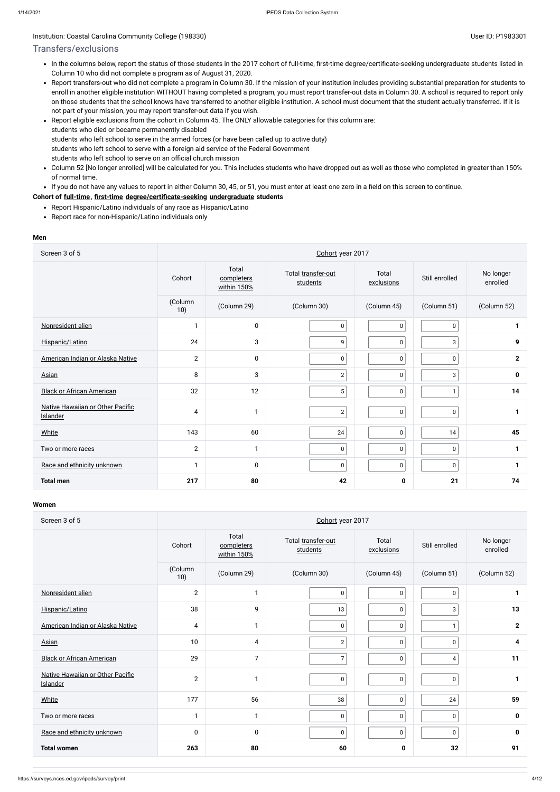## Institution: Coastal Carolina Community College (198330) Contract Contract Contract Contract Contract Contract Contract Contract Contract Contract Contract Contract Contract Contract Contract Contract Contract Contract Con

## Transfers/exclusions

- Report Hispanic/Latino individuals of any race as Hispanic/Latino
- Report race for non-Hispanic/Latino individuals only
- In the columns below, report the status of those students in the 2017 cohort of full-time, first-time degree/certificate-seeking undergraduate students listed in Column 10 who did not complete a program as of August 31, 2020.
- Report transfers-out who did not complete a program in Column 30. If the mission of your institution includes providing substantial preparation for students to enroll in another eligible institution WITHOUT having completed a program, you must report transfer-out data in Column 30. A school is required to report only on those students that the school knows have transferred to another eligible institution. A school must document that the student actually transferred. If it is not part of your mission, you may report transfer-out data if you wish.
- Report eligible exclusions from the cohort in Column 45. The ONLY allowable categories for this column are: students who died or became permanently disabled students who left school to serve in the armed forces (or have been called up to active duty) students who left school to serve with a foreign aid service of the Federal Government students who left school to serve on an official church mission
- Column 52 [No longer enrolled] will be calculated for you. This includes students who have dropped out as well as those who completed in greater than 150%  $\bullet$ of normal time.
- If you do not have any values to report in either Column 30, 45, or 51, you must enter at least one zero in a field on this screen to continue.

### **Cohort of [full-time](javascript:openglossary(259)), [first-time](javascript:openglossary(241)) [degree/certificate-seeking](javascript:openglossary(171)) [undergraduate](javascript:openglossary(677)) students**

#### **Men**

| Screen 3 of 5                                |                |                                    | Cohort year 2017               |                     |                |                       |
|----------------------------------------------|----------------|------------------------------------|--------------------------------|---------------------|----------------|-----------------------|
|                                              | Cohort         | Total<br>completers<br>within 150% | Total transfer-out<br>students | Total<br>exclusions | Still enrolled | No longer<br>enrolled |
|                                              | (Column<br>10) | (Column 29)                        | (Column 30)                    | (Column 45)         | (Column 51)    | (Column 52)           |
| Nonresident alien                            | 1              | $\mathbf 0$                        | $\pmb{0}$                      | $\mathbf 0$         | $\mathbf 0$    | 1                     |
| Hispanic/Latino                              | 24             | 3                                  | 9                              | $\pmb{0}$           | 3              | 9                     |
| American Indian or Alaska Native             | $\overline{2}$ | $\mathbf 0$                        | $\pmb{0}$                      | $\mathbf 0$         | $\mathbf 0$    | $\mathbf{2}$          |
| <b>Asian</b>                                 | 8              | 3                                  | $\sqrt{2}$                     | $\mathbf 0$         | 3              | $\mathbf 0$           |
| <b>Black or African American</b>             | 32             | 12                                 | $5\phantom{.0}$                | $\overline{0}$      | $\mathbf{1}$   | 14                    |
| Native Hawaiian or Other Pacific<br>Islander | $\overline{4}$ | $\mathbf{1}$                       | $\sqrt{2}$                     | $\pmb{0}$           | $\pmb{0}$      | 1                     |
| <b>White</b>                                 | 143            | 60                                 | 24                             | $\overline{0}$      | 14             | 45                    |
| Two or more races                            | $\overline{2}$ | $\mathbf{1}$                       | $\mathbf 0$                    | 0                   | 0              | 1                     |
| Race and ethnicity unknown                   | $\mathbf{1}$   | $\mathbf 0$                        | 0                              | $\overline{0}$      | $\mathbf 0$    | 1                     |
| <b>Total men</b>                             | 217            | 80                                 | 42                             | $\mathbf 0$         | 21             | 74                    |

#### **Women**

| Screen 3 of 5                                | Cohort year 2017 |                                    |                                |                     |                |                       |
|----------------------------------------------|------------------|------------------------------------|--------------------------------|---------------------|----------------|-----------------------|
|                                              | Cohort           | Total<br>completers<br>within 150% | Total transfer-out<br>students | Total<br>exclusions | Still enrolled | No longer<br>enrolled |
|                                              | (Column<br>10)   | (Column 29)                        | (Column 30)                    | (Column 45)         | (Column 51)    | (Column 52)           |
| Nonresident alien                            | $\overline{2}$   | 1                                  | 0                              | $\pmb{0}$           | $\mathbf 0$    | 1                     |
| Hispanic/Latino                              | 38               | 9                                  | 13                             | $\pmb{0}$           | $\mathbf{3}$   | 13                    |
| American Indian or Alaska Native             | $\overline{4}$   | $\mathbf{1}$                       | 0                              | $\pmb{0}$           | $\mathbf{1}$   | $\mathbf{2}$          |
| Asian                                        | 10               | 4                                  | $\overline{2}$                 | $\pmb{0}$           | $\pmb{0}$      | 4                     |
| <b>Black or African American</b>             | 29               | $\overline{7}$                     | 7                              | $\pmb{0}$           | 4              | 11                    |
| Native Hawaiian or Other Pacific<br>Islander | $\overline{2}$   | 1                                  | 0                              | $\pmb{0}$           | $\mathbf 0$    | 1                     |
| <b>White</b>                                 | 177              | 56                                 | 38                             | $\pmb{0}$           | 24             | 59                    |
| Two or more races                            | $\mathbf{1}$     | $\mathbf{1}$                       | $\pmb{0}$                      | $\pmb{0}$           | $\mathbf 0$    | $\mathbf 0$           |
| Race and ethnicity unknown                   | $\mathbf 0$      | $\mathbf 0$                        | $\pmb{0}$                      | $\pmb{0}$           | $\pmb{0}$      | $\mathbf 0$           |
| <b>Total women</b>                           | 263              | 80                                 | 60                             | 0                   | 32             | 91                    |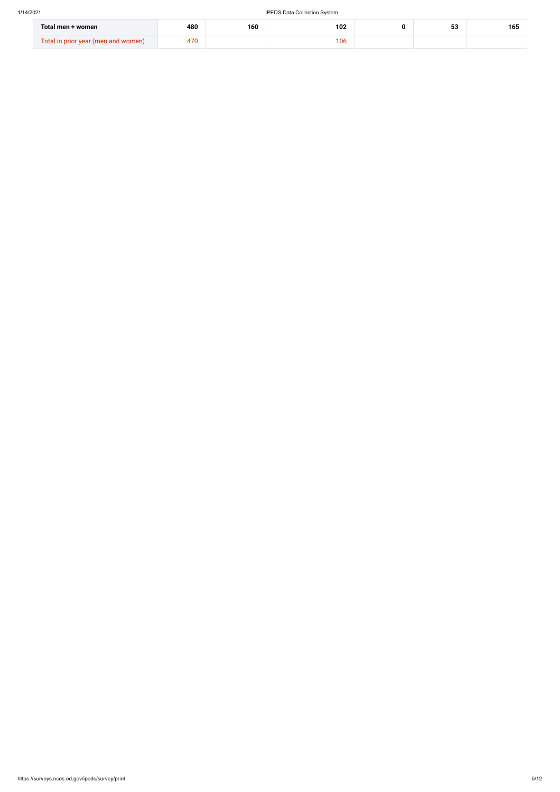| Total men + women                                  | 480          | 160 | 102 | ro.<br>ъ.<br>ഄഄ | .<br>165 |
|----------------------------------------------------|--------------|-----|-----|-----------------|----------|
| `otal<br>r vear (men and women)<br><b>In prior</b> | $70^{\circ}$ |     | 106 |                 |          |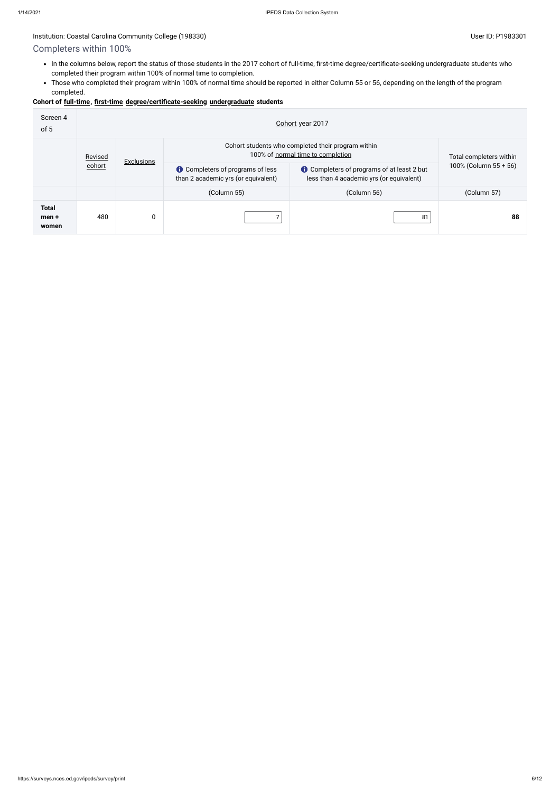# Completers within 100%

- In the columns below, report the status of those students in the 2017 cohort of full-time, first-time degree/certificate-seeking undergraduate students who completed their program within 100% of normal time to completion.
- Those who completed their program within 100% of normal time should be reported in either Column 55 or 56, depending on the length of the program completed.

## **Cohort of [full-time](javascript:openglossary(259)), [first-time](javascript:openglossary(241)) [degree/certificate-seeking](javascript:openglossary(171)) [undergraduate](javascript:openglossary(677)) students**

| Screen 4<br>of 5                 | Cohort year 2017 |                   |                                                                                         |                                                                                               |                       |  |  |
|----------------------------------|------------------|-------------------|-----------------------------------------------------------------------------------------|-----------------------------------------------------------------------------------------------|-----------------------|--|--|
|                                  | Revised          | <b>Exclusions</b> | Cohort students who completed their program within<br>100% of normal time to completion | Total completers within                                                                       |                       |  |  |
|                                  | cohort           |                   | <b>C</b> Completers of programs of less<br>than 2 academic yrs (or equivalent)          | <b>t</b> Completers of programs of at least 2 but<br>less than 4 academic yrs (or equivalent) | 100% (Column 55 + 56) |  |  |
|                                  |                  |                   | (Column 55)                                                                             | (Column 56)                                                                                   | (Column 57)           |  |  |
| <b>Total</b><br>$men +$<br>women | 480              | 0                 |                                                                                         | 81                                                                                            | 88                    |  |  |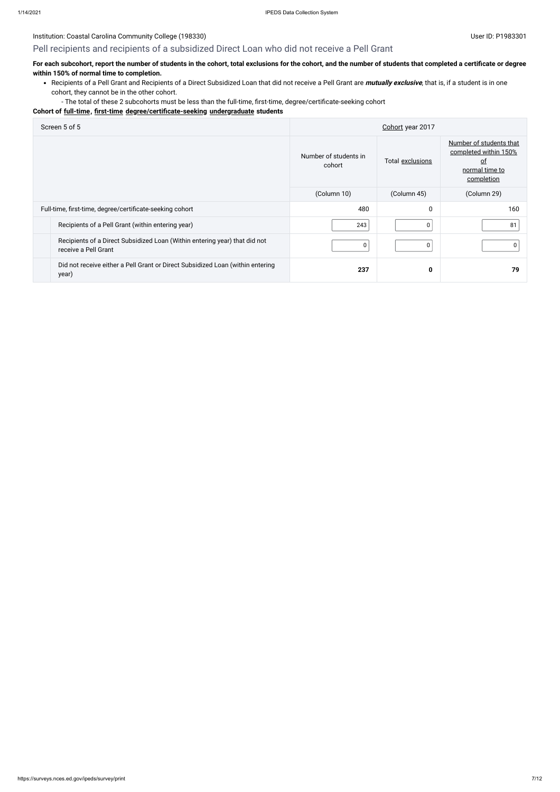## Pell recipients and recipients of a subsidized Direct Loan who did not receive a Pell Grant

## **For each subcohort, report the number of students in the cohort, total exclusions for the cohort, and the number of students that completed a certificate or degree within 150% of normal time to completion.**

Recipients of a Pell Grant and Recipients of a Direct Subsidized Loan that did not receive a Pell Grant are **mutually exclusive**, that is, if a student is in one cohort, they cannot be in the other cohort.

- The total of these 2 subcohorts must be less than the full-time, first-time, degree/certificate-seeking cohort

## **Cohort of [full-time](javascript:openglossary(259)), [first-time](javascript:openglossary(241)) [degree/certificate-seeking](javascript:openglossary(171)) [undergraduate](javascript:openglossary(677)) students**

| Screen 5 of 5                                                                                      | Cohort year 2017                |                  |                                                                                               |  |
|----------------------------------------------------------------------------------------------------|---------------------------------|------------------|-----------------------------------------------------------------------------------------------|--|
|                                                                                                    | Number of students in<br>cohort | Total exclusions | Number of students that<br>completed within 150%<br><u>of</u><br>normal time to<br>completion |  |
|                                                                                                    | (Column 10)                     | (Column 45)      | (Column 29)                                                                                   |  |
| Full-time, first-time, degree/certificate-seeking cohort                                           | 480                             | 0                | 160                                                                                           |  |
| Recipients of a Pell Grant (within entering year)                                                  | 243                             | $\Omega$         | 81                                                                                            |  |
| Recipients of a Direct Subsidized Loan (Within entering year) that did not<br>receive a Pell Grant | 0                               | 0                |                                                                                               |  |
| Did not receive either a Pell Grant or Direct Subsidized Loan (within entering<br>year)            | 237                             | 0                | 79                                                                                            |  |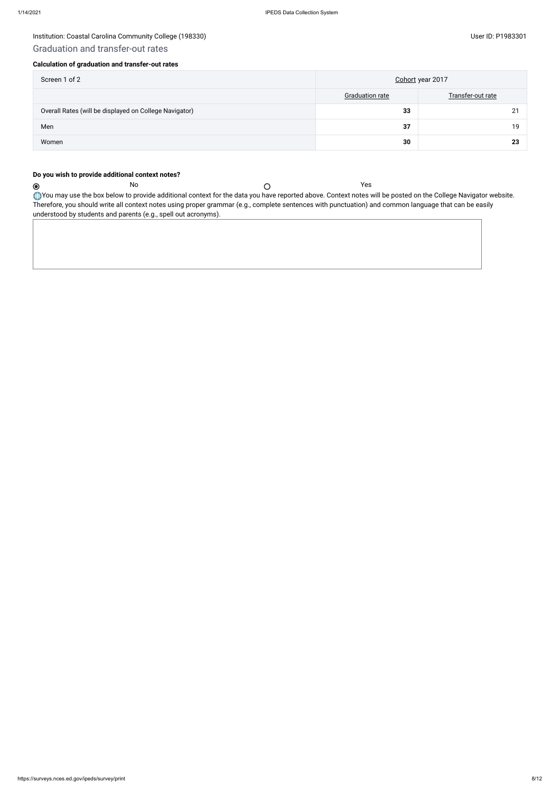$\odot$ 

## Institution: Coastal Carolina Community College (198330) and the state of the state of the User ID: P1983301 User ID: P1983301

## Graduation and transfer-out rates

## **Calculation of graduation and transfer-out rates**

| Screen 1 of 2                                          | Cohort year 2017       |                   |  |  |
|--------------------------------------------------------|------------------------|-------------------|--|--|
|                                                        | <b>Graduation rate</b> | Transfer-out rate |  |  |
| Overall Rates (will be displayed on College Navigator) | 33                     | 21                |  |  |
| Men                                                    | 37                     | 19                |  |  |
| Women                                                  | 30                     | 23                |  |  |

You may use the box below to provide additional context for the data you have reported above. Context notes will be posted on the College Navigator website. Therefore, you should write all context notes using proper grammar (e.g., complete sentences with punctuation) and common language that can be easily understood by students and parents (e.g., spell out acronyms).

## **Do you wish to provide additional context notes?**

No Yes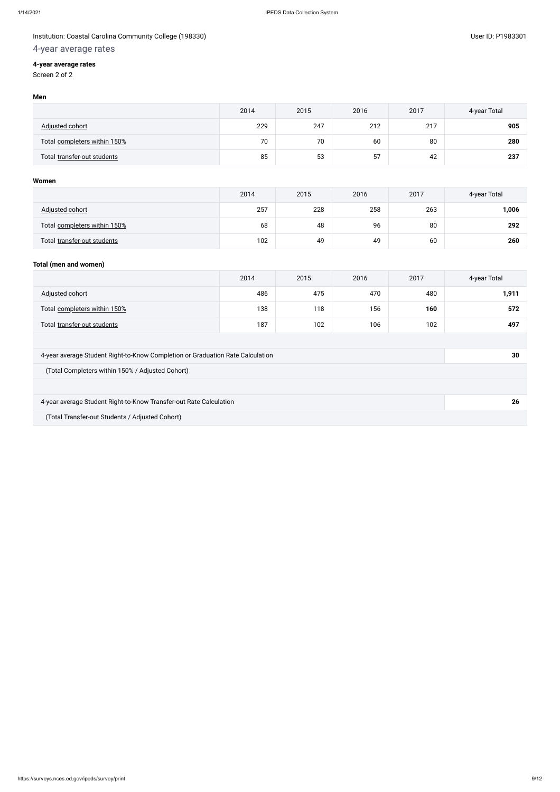## Institution: Coastal Carolina Community College (198330) and the control of the control of the control of the control of the control of the control of the control of the control of the control of the control of the control

# 4-year average rates

## **4-year average rates**

Screen 2 of 2

### **Men**

|                              | 2014 | 2015 | 2016 | 2017 | 4-year Total |
|------------------------------|------|------|------|------|--------------|
| Adjusted cohort              | 229  | 247  | 212  | 217  | 905          |
| Total completers within 150% | 70   | 70   | 60   | 80   | 280          |
| Total transfer-out students  | 85   | 53   | 57   | 42   | 237          |

## **Women**

|                              | 2014 | 2015 | 2016 | 2017 | 4-year Total |
|------------------------------|------|------|------|------|--------------|
| <b>Adjusted cohort</b>       | 257  | 228  | 258  | 263  | 1,006        |
| Total completers within 150% | 68   | 48   | 96   | 80   | 292          |
| Total transfer-out students  | 102  | 49   | 49   | 60   | 260          |

## **Total (men and women)**

|                                                                                | 2014 | 2015 | 2016 | 2017 | 4-year Total |  |
|--------------------------------------------------------------------------------|------|------|------|------|--------------|--|
| Adjusted cohort                                                                | 486  | 475  | 470  | 480  | 1,911        |  |
| Total completers within 150%                                                   | 138  | 118  | 156  | 160  | 572          |  |
| Total transfer-out students                                                    | 187  | 102  | 106  | 102  | 497          |  |
|                                                                                |      |      |      |      |              |  |
| 4-year average Student Right-to-Know Completion or Graduation Rate Calculation | 30   |      |      |      |              |  |
| (Total Completers within 150% / Adjusted Cohort)                               |      |      |      |      |              |  |
|                                                                                |      |      |      |      |              |  |
| 4-year average Student Right-to-Know Transfer-out Rate Calculation             | 26   |      |      |      |              |  |
| (Total Transfer-out Students / Adjusted Cohort)                                |      |      |      |      |              |  |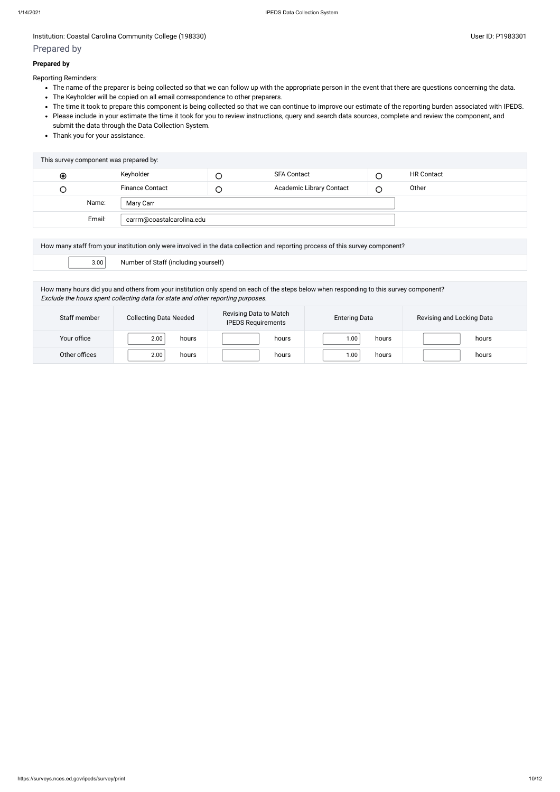## Prepared by

## **Prepared by**

Reporting Reminders:

- The name of the preparer is being collected so that we can follow up with the appropriate person in the event that there are questions concerning the data.
- The Keyholder will be copied on all email correspondence to other preparers.
- The time it took to prepare this component is being collected so that we can continue to improve our estimate of the reporting burden associated with IPEDS.
- Please include in your estimate the time it took for you to review instructions, query and search data sources, complete and review the component, and submit the data through the Data Collection System.
- Thank you for your assistance.

| This survey component was prepared by: |                                     |                        |        |                                 |   |                   |
|----------------------------------------|-------------------------------------|------------------------|--------|---------------------------------|---|-------------------|
| $\bullet$                              |                                     | Keyholder              | $\cup$ | SFA Contact                     |   | <b>HR Contact</b> |
| Э                                      |                                     | <b>Finance Contact</b> | $\cup$ | <b>Academic Library Contact</b> | С | Other             |
|                                        | Name:                               | Mary Carr              |        |                                 |   |                   |
|                                        | Email:<br>carrm@coastalcarolina.edu |                        |        |                                 |   |                   |
|                                        |                                     |                        |        |                                 |   |                   |

| How many staff from your institution only were involved in the data collection and reporting process of this survey component? |  |                                      |  |  |
|--------------------------------------------------------------------------------------------------------------------------------|--|--------------------------------------|--|--|
| 3.00                                                                                                                           |  | Number of Staff (including yourself) |  |  |
|                                                                                                                                |  |                                      |  |  |

How many hours did you and others from your institution only spend on each of the steps below when responding to this survey component? Exclude the hours spent collecting data for state and other reporting purposes.

| Staff member  | <b>Collecting Data Needed</b> | Revising Data to Match<br><b>IPEDS Requirements</b> | <b>Entering Data</b> | Revising and Locking Data |  |
|---------------|-------------------------------|-----------------------------------------------------|----------------------|---------------------------|--|
| Your office   | 2.00<br>hours                 | hours                                               | 1.00<br>hours        | hours                     |  |
| Other offices | 2.00<br>hours                 | hours                                               | 0.00<br>hours        | hours                     |  |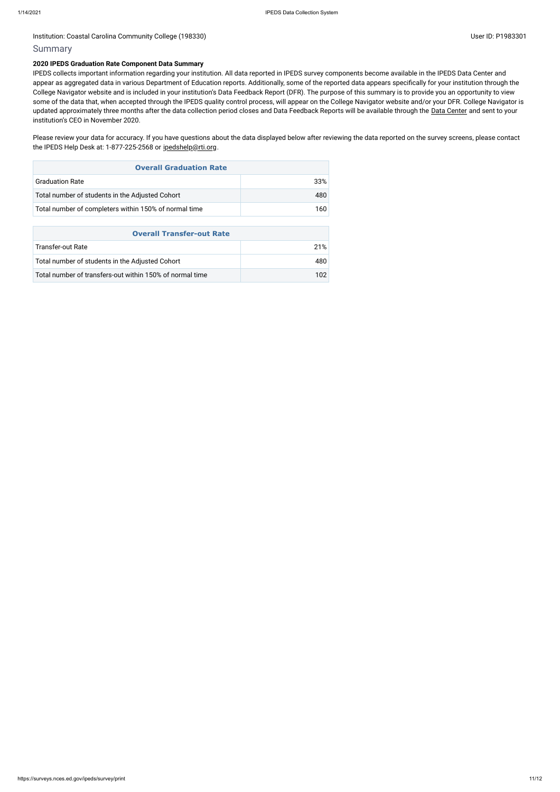### Institution: Coastal Carolina Community College (198330) Contract Contract Contract Contract Contract Contract Contract Contract Contract Contract Contract Contract Contract Contract Contract Contract Contract Contract Con

## Summary

#### **2020 IPEDS Graduation Rate Component Data Summary**

IPEDS collects important information regarding your institution. All data reported in IPEDS survey components become available in the IPEDS Data Center and appear as aggregated data in various Department of Education reports. Additionally, some of the reported data appears specifically for your institution through the College Navigator website and is included in your institution's Data Feedback Report (DFR). The purpose of this summary is to provide you an opportunity to view some of the data that, when accepted through the IPEDS quality control process, will appear on the College Navigator website and/or your DFR. College Navigator is updated approximately three months after the data collection period closes and Data Feedback Reports will be available through the Data [Center](https://nces.ed.gov/ipeds/use-the-data) and sent to your institution's CEO in November 2020.

Please review your data for accuracy. If you have questions about the data displayed below after reviewing the data reported on the survey screens, please contact the IPEDS Help Desk at: 1-877-225-2568 or [ipedshelp@rti.org](mailto:ipedshelp@rti.org).

| <b>Overall Graduation Rate</b>                        |      |  |  |  |
|-------------------------------------------------------|------|--|--|--|
| <b>Graduation Rate</b>                                | 33%  |  |  |  |
| Total number of students in the Adjusted Cohort       | 480. |  |  |  |
| Total number of completers within 150% of normal time | 160. |  |  |  |

| <b>Overall Transfer-out Rate</b>                         |      |  |  |  |
|----------------------------------------------------------|------|--|--|--|
| Transfer-out Rate                                        | 21%  |  |  |  |
| Total number of students in the Adjusted Cohort          | 480  |  |  |  |
| Total number of transfers-out within 150% of normal time | 102. |  |  |  |